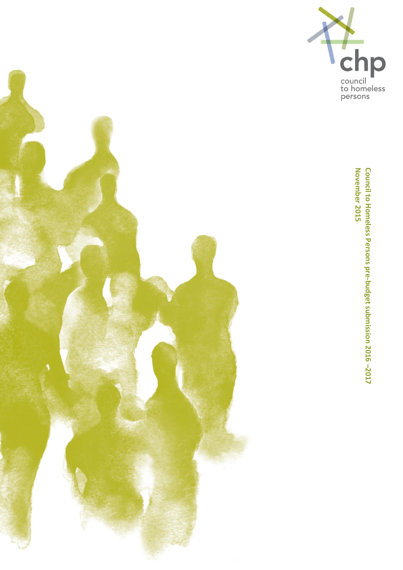



**Council to Homeless Persons pre-budget submission 2016 –2017 November 2015**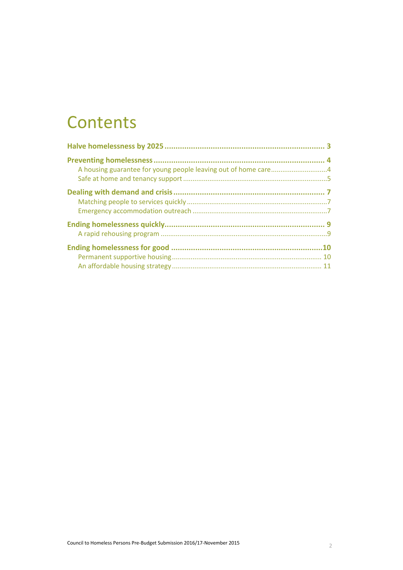### **Contents**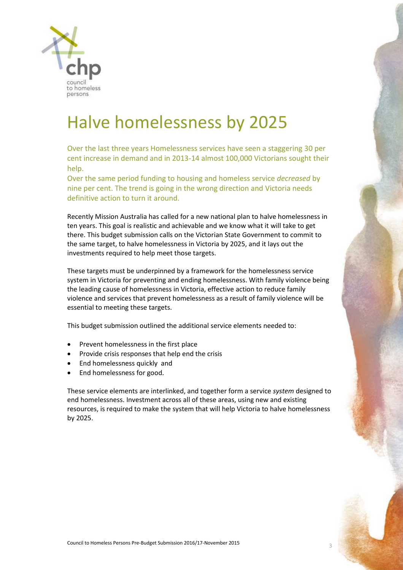

## Halve homelessness by 2025

Over the last three years Homelessness services have seen a staggering 30 per cent increase in demand and in 2013-14 almost 100,000 Victorians sought their help.

Over the same period funding to housing and homeless service *decreased* by nine per cent. The trend is going in the wrong direction and Victoria needs definitive action to turn it around.

Recently Mission Australia has called for a new national plan to halve homelessness in ten years. This goal is realistic and achievable and we know what it will take to get there. This budget submission calls on the Victorian State Government to commit to the same target, to halve homelessness in Victoria by 2025, and it lays out the investments required to help meet those targets.

These targets must be underpinned by a framework for the homelessness service system in Victoria for preventing and ending homelessness. With family violence being the leading cause of homelessness in Victoria, effective action to reduce family violence and services that prevent homelessness as a result of family violence will be essential to meeting these targets.

This budget submission outlined the additional service elements needed to:

- Prevent homelessness in the first place
- Provide crisis responses that help end the crisis
- End homelessness quickly and
- End homelessness for good.

These service elements are interlinked, and together form a service *system* designed to end homelessness. Investment across all of these areas, using new and existing resources, is required to make the system that will help Victoria to halve homelessness by 2025.

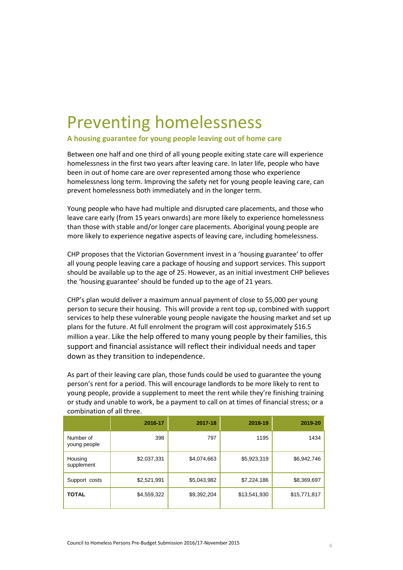## Preventing homelessness

### **A housing guarantee for young people leaving out of home care**

Between one half and one third of all young people exiting state care will experience homelessness in the first two years after leaving care. In later life, people who have been in out of home care are over represented among those who experience homelessness long term. Improving the safety net for young people leaving care, can prevent homelessness both immediately and in the longer term.

Young people who have had multiple and disrupted care placements, and those who leave care early (from 15 years onwards) are more likely to experience homelessness than those with stable and/or longer care placements. Aboriginal young people are more likely to experience negative aspects of leaving care, including homelessness.

CHP proposes that the Victorian Government invest in a 'housing guarantee' to offer all young people leaving care a package of housing and support services. This support should be available up to the age of 25. However, as an initial investment CHP believes the 'housing guarantee' should be funded up to the age of 21 years.

CHP's plan would deliver a maximum annual payment of close to \$5,000 per young person to secure their housing. This will provide a rent top up, combined with support services to help these vulnerable young people navigate the housing market and set up plans for the future. At full enrolment the program will cost approximately \$16.5 million a year. Like the help offered to many young people by their families, this support and financial assistance will reflect their individual needs and taper down as they transition to independence.

As part of their leaving care plan, those funds could be used to guarantee the young person's rent for a period. This will encourage landlords to be more likely to rent to young people, provide a supplement to meet the rent while they're finishing training or study and unable to work, be a payment to call on at times of financial stress; or a combination of all three.

|                           | 2016-17     | 2017-18     | 2018-19      | 2019-20      |
|---------------------------|-------------|-------------|--------------|--------------|
| Number of<br>young people | 398         | 797         | 1195         | 1434         |
| Housing<br>supplement     | \$2,037,331 | \$4,074,663 | \$5,923,319  | \$6,942,746  |
| Support costs             | \$2,521,991 | \$5,043,982 | \$7,224,186  | \$8,369,697  |
| <b>TOTAL</b>              | \$4,559,322 | \$9,392,204 | \$13,541,930 | \$15,771,817 |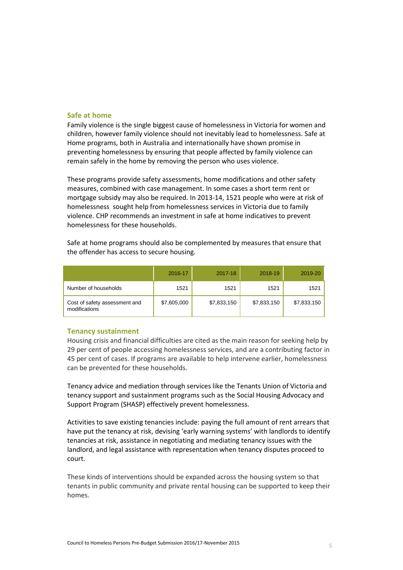#### **Safe at home**

Family violence is the single biggest cause of homelessness in Victoria for women and children, however family violence should not inevitably lead to homelessness. Safe at Home programs, both in Australia and internationally have shown promise in preventing homelessness by ensuring that people affected by family violence can remain safely in the home by removing the person who uses violence.

These programs provide safety assessments, home modifications and other safety measures, combined with case management. In some cases a short term rent or mortgage subsidy may also be required. In 2013-14, 1521 people who were at risk of homelessness sought help from homelessness services in Victoria due to family violence. CHP recommends an investment in safe at home indicatives to prevent homelessness for these households.

Safe at home programs should also be complemented by measures that ensure that the offender has access to secure housing.

|                                                | 2016-17     | 2017-18     | 2018-19     | 2019-20     |
|------------------------------------------------|-------------|-------------|-------------|-------------|
| Number of households                           | 1521        | 1521        | 1521        | 1521        |
| Cost of safety assessment and<br>modifications | \$7,605,000 | \$7,833,150 | \$7,833,150 | \$7,833,150 |

#### **Tenancy sustainment**

Housing crisis and financial difficulties are cited as the main reason for seeking help by 29 per cent of people accessing homelessness services, and are a contributing factor in 45 per cent of cases. If programs are available to help intervene earlier, homelessness can be prevented for these households.

Tenancy advice and mediation through services like the Tenants Union of Victoria and tenancy support and sustainment programs such as the Social Housing Advocacy and Support Program (SHASP) effectively prevent homelessness.

Activities to save existing tenancies include: paying the full amount of rent arrears that have put the tenancy at risk, devising 'early warning systems' with landlords to identify tenancies at risk, assistance in negotiating and mediating tenancy issues with the landlord, and legal assistance with representation when tenancy disputes proceed to court.

These kinds of interventions should be expanded across the housing system so that tenants in public community and private rental housing can be supported to keep their homes.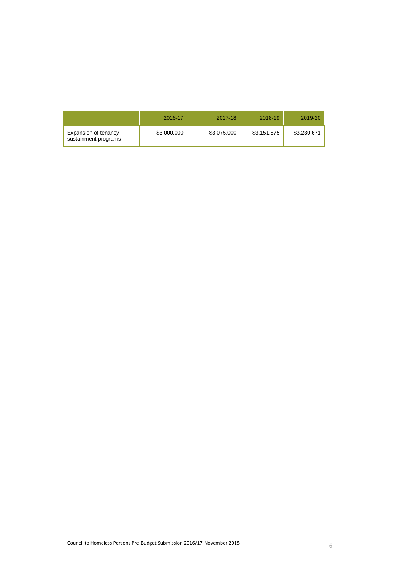|                                              | 2016-17     | 2017-18     | 2018-19     | 2019-20     |
|----------------------------------------------|-------------|-------------|-------------|-------------|
| Expansion of tenancy<br>sustainment programs | \$3,000,000 | \$3,075,000 | \$3,151,875 | \$3,230,671 |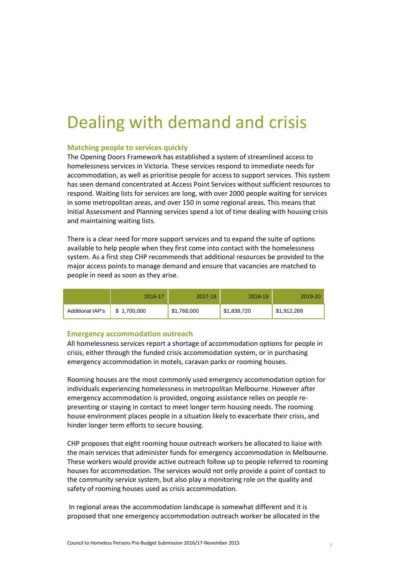## Dealing with demand and crisis

### **Matching people to services quickly**

The Opening Doors Framework has established a system of streamlined access to homelessness services in Victoria. These services respond to immediate needs for accommodation, as well as prioritise people for access to support services. This system has seen demand concentrated at Access Point Services without sufficient resources to respond. Waiting lists for services are long, with over 2000 people waiting for services in some metropolitan areas, and over 150 in some regional areas. This means that Initial Assessment and Planning services spend a lot of time dealing with housing crisis and maintaining waiting lists.

There is a clear need for more support services and to expand the suite of options available to help people when they first come into contact with the homelessness system. As a first step CHP recommends that additional resources be provided to the major access points to manage demand and ensure that vacancies are matched to people in need as soon as they arise.

|                  | 2016-17     | 2017-18     | 2018-19     | 2019-20     |
|------------------|-------------|-------------|-------------|-------------|
| Additional IAP's | \$1,700,000 | \$1,768,000 | \$1,838,720 | \$1,912,268 |

#### **Emergency accommodation outreach**

All homelessness services report a shortage of accommodation options for people in crisis, either through the funded crisis accommodation system, or in purchasing emergency accommodation in motels, caravan parks or rooming houses.

Rooming houses are the most commonly used emergency accommodation option for individuals experiencing homelessness in metropolitan Melbourne. However after emergency accommodation is provided, ongoing assistance relies on people representing or staying in contact to meet longer term housing needs. The rooming house environment places people in a situation likely to exacerbate their crisis, and hinder longer term efforts to secure housing.

CHP proposes that eight rooming house outreach workers be allocated to liaise with the main services that administer funds for emergency accommodation in Melbourne. These workers would provide active outreach follow up to people referred to rooming houses for accommodation. The services would not only provide a point of contact to the community service system, but also play a monitoring role on the quality and safety of rooming houses used as crisis accommodation.

In regional areas the accommodation landscape is somewhat different and it is proposed that one emergency accommodation outreach worker be allocated in the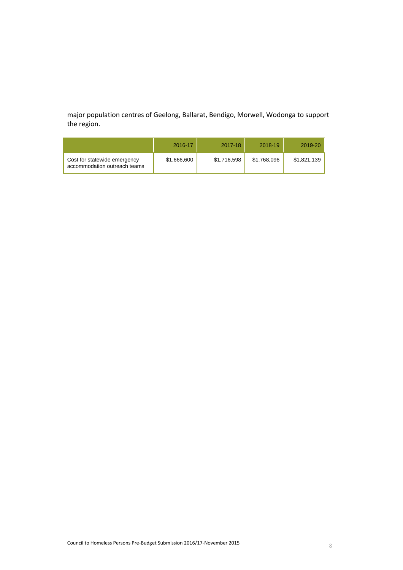major population centres of Geelong, Ballarat, Bendigo, Morwell, Wodonga to support the region.

|                                                              | 2016-17     | 2017-18     | 2018-19     | 2019-20     |
|--------------------------------------------------------------|-------------|-------------|-------------|-------------|
| Cost for statewide emergency<br>accommodation outreach teams | \$1,666,600 | \$1,716,598 | \$1,768,096 | \$1,821,139 |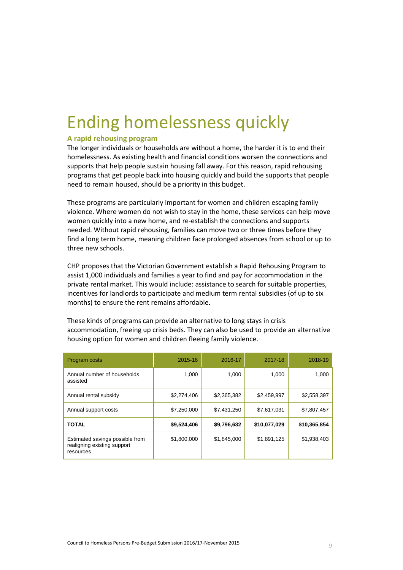## Ending homelessness quickly

### **A rapid rehousing program**

The longer individuals or households are without a home, the harder it is to end their homelessness. As existing health and financial conditions worsen the connections and supports that help people sustain housing fall away. For this reason, rapid rehousing programs that get people back into housing quickly and build the supports that people need to remain housed, should be a priority in this budget.

These programs are particularly important for women and children escaping family violence. Where women do not wish to stay in the home, these services can help move women quickly into a new home, and re-establish the connections and supports needed. Without rapid rehousing, families can move two or three times before they find a long term home, meaning children face prolonged absences from school or up to three new schools.

CHP proposes that the Victorian Government establish a Rapid Rehousing Program to assist 1,000 individuals and families a year to find and pay for accommodation in the private rental market. This would include: assistance to search for suitable properties, incentives for landlords to participate and medium term rental subsidies (of up to six months) to ensure the rent remains affordable.

These kinds of programs can provide an alternative to long stays in crisis accommodation, freeing up crisis beds. They can also be used to provide an alternative housing option for women and children fleeing family violence.

| Program costs                                                               | 2015-16     | 2016-17     | 2017-18      | 2018-19      |
|-----------------------------------------------------------------------------|-------------|-------------|--------------|--------------|
| Annual number of households<br>assisted                                     | 1,000       | 1,000       | 1,000        | 1,000        |
| Annual rental subsidy                                                       | \$2,274,406 | \$2,365,382 | \$2,459,997  | \$2,558,397  |
| Annual support costs                                                        | \$7,250,000 | \$7,431,250 | \$7,617,031  | \$7,807,457  |
| <b>TOTAL</b>                                                                | \$9,524,406 | \$9,796,632 | \$10,077,029 | \$10,365,854 |
| Estimated savings possible from<br>realigning existing support<br>resources | \$1,800,000 | \$1,845,000 | \$1,891,125  | \$1,938,403  |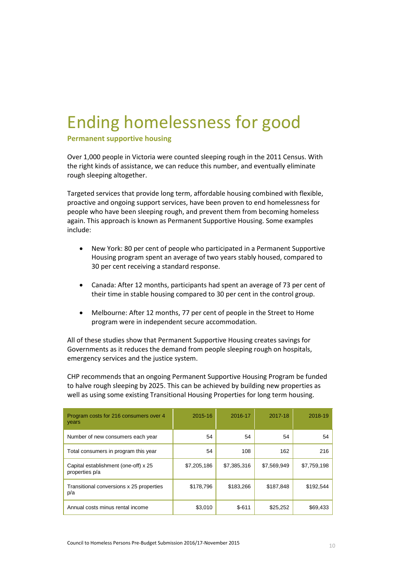# Ending homelessness for good

**Permanent supportive housing** 

Over 1,000 people in Victoria were counted sleeping rough in the 2011 Census. With the right kinds of assistance, we can reduce this number, and eventually eliminate rough sleeping altogether.

Targeted services that provide long term, affordable housing combined with flexible, proactive and ongoing support services, have been proven to end homelessness for people who have been sleeping rough, and prevent them from becoming homeless again. This approach is known as Permanent Supportive Housing. Some examples include:

- New York: 80 per cent of people who participated in a Permanent Supportive Housing program spent an average of two years stably housed, compared to 30 per cent receiving a standard response.
- Canada: After 12 months, participants had spent an average of 73 per cent of their time in stable housing compared to 30 per cent in the control group.
- Melbourne: After 12 months, 77 per cent of people in the Street to Home program were in independent secure accommodation.

All of these studies show that Permanent Supportive Housing creates savings for Governments as it reduces the demand from people sleeping rough on hospitals, emergency services and the justice system.

CHP recommends that an ongoing Permanent Supportive Housing Program be funded to halve rough sleeping by 2025. This can be achieved by building new properties as well as using some existing Transitional Housing Properties for long term housing.

| Program costs for 216 consumers over 4<br>years        | 2015-16     | 2016-17     | 2017-18     | 2018-19     |
|--------------------------------------------------------|-------------|-------------|-------------|-------------|
| Number of new consumers each year                      | 54          | 54          | 54          | 54          |
| Total consumers in program this year                   | 54          | 108         | 162         | 216         |
| Capital establishment (one-off) x 25<br>properties p/a | \$7,205,186 | \$7,385,316 | \$7,569,949 | \$7,759,198 |
| Transitional conversions x 25 properties<br>p/a        | \$178,796   | \$183,266   | \$187,848   | \$192,544   |
| Annual costs minus rental income                       | \$3,010     | $$-611$     | \$25,252    | \$69,433    |